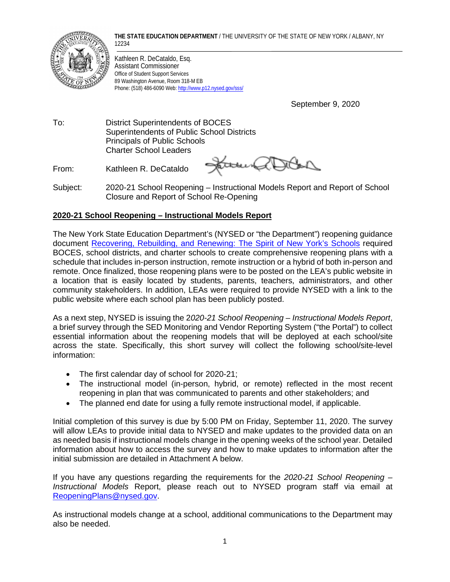**THE STATE EDUCATION DEPARTMENT** / THE UNIVERSITY OF THE STATE OF NEW YORK / ALBANY, NY 12234



Kathleen R. DeCataldo, Esq. Assistant Commissioner Office of Student Support Services 89 Washington Avenue, Room 318-M EB Phone: (518) 486-6090 Web[: http://www.p12.nysed.gov/sss/](http://www.p12.nysed.gov/sss/)

September 9, 2020

To: District Superintendents of BOCES Superintendents of Public School Districts Principals of Public Schools Charter School Leaders

From: Kathleen R. DeCataldo

State R

Subject: 2020-21 School Reopening – Instructional Models Report and Report of School Closure and Report of School Re-Opening

# **2020-21 School Reopening – Instructional Models Report**

The New York State Education Department's (NYSED or "the Department") reopening guidance document [Recovering, Rebuilding, and Renewing:](http://www.nysed.gov/common/nysed/files/programs/reopening-schools/nys-p12-school-reopening-guidance.pdf) The Spirit of New York's Schools required BOCES, school districts, and charter schools to create comprehensive reopening plans with a schedule that includes in-person instruction, remote instruction or a hybrid of both in-person and remote. Once finalized, those reopening plans were to be posted on the LEA's public website in a location that is easily located by students, parents, teachers, administrators, and other community stakeholders. In addition, LEAs were required to provide NYSED with a link to the public website where each school plan has been publicly posted.

As a next step, NYSED is issuing the 2*020-21 School Reopening – Instructional Models Report*, a brief survey through the SED Monitoring and Vendor Reporting System ("the Portal") to collect essential information about the reopening models that will be deployed at each school/site across the state. Specifically, this short survey will collect the following school/site-level information:

- The first calendar day of school for 2020-21;
- The instructional model (in-person, hybrid, or remote) reflected in the most recent reopening in plan that was communicated to parents and other stakeholders; and
- The planned end date for using a fully remote instructional model, if applicable.

Initial completion of this survey is due by 5:00 PM on Friday, September 11, 2020. The survey will allow LEAs to provide initial data to NYSED and make updates to the provided data on an as needed basis if instructional models change in the opening weeks of the school year. Detailed information about how to access the survey and how to make updates to information after the initial submission are detailed in Attachment A below.

If you have any questions regarding the requirements for the *2020-21 School Reopening – Instructional Models* Report, please reach out to NYSED program staff via email at [ReopeningPlans@nysed.gov.](mailto:ReopeningPlans@nysed.gov)

As instructional models change at a school, additional communications to the Department may also be needed.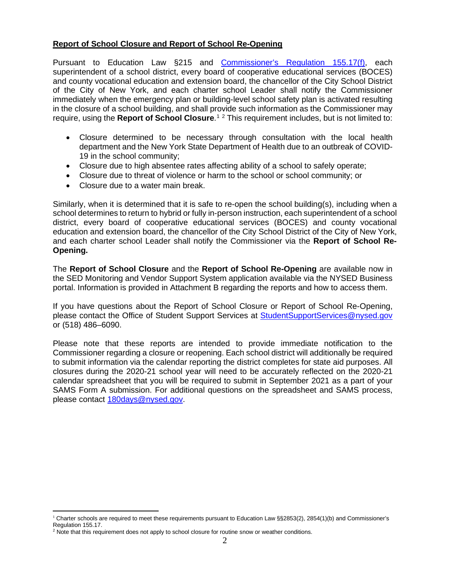# **Report of School Closure and Report of School Re-Opening**

Pursuant to Education Law §215 and [Commissioner's Regulation 155.17\(f\),](https://govt.westlaw.com/nycrr/Document/I36630acec22211ddb29d8bee567fca9f?viewType=FullText&originationContext=documenttoc&transitionType=CategoryPageItem&contextData=(sc.Default)) each superintendent of a school district, every board of cooperative educational services (BOCES) and county vocational education and extension board, the chancellor of the City School District of the City of New York, and each charter school Leader shall notify the Commissioner immediately when the emergency plan or building-level school safety plan is activated resulting in the closure of a school building, and shall provide such information as the Commissioner may require, using the Report of School Closure.<sup>[1](#page-1-0)[2](#page-1-1)</sup> This requirement includes, but is not limited to:

- Closure determined to be necessary through consultation with the local health department and the New York State Department of Health due to an outbreak of COVID-19 in the school community;
- Closure due to high absentee rates affecting ability of a school to safely operate;
- Closure due to threat of violence or harm to the school or school community; or
- Closure due to a water main break.

Similarly, when it is determined that it is safe to re-open the school building(s), including when a school determines to return to hybrid or fully in-person instruction, each superintendent of a school district, every board of cooperative educational services (BOCES) and county vocational education and extension board, the chancellor of the City School District of the City of New York, and each charter school Leader shall notify the Commissioner via the **Report of School Re-Opening.** 

The **Report of School Closure** and the **Report of School Re-Opening** are available now in the SED Monitoring and Vendor Support System application available via the NYSED Business portal. Information is provided in Attachment B regarding the reports and how to access them.

If you have questions about the Report of School Closure or Report of School Re-Opening, please contact the Office of Student Support Services at [StudentSupportServices@nysed.gov](mailto:StudentSupportServices@nysed.gov) or (518) 486–6090.

Please note that these reports are intended to provide immediate notification to the Commissioner regarding a closure or reopening. Each school district will additionally be required to submit information via the calendar reporting the district completes for state aid purposes. All closures during the 2020-21 school year will need to be accurately reflected on the 2020-21 calendar spreadsheet that you will be required to submit in September 2021 as a part of your SAMS Form A submission. For additional questions on the spreadsheet and SAMS process, please contact [180days@nysed.gov.](mailto:180days@nysed.gov)

<span id="page-1-0"></span> $1$  Charter schools are required to meet these requirements pursuant to Education Law  $\S$ §2853(2), 2854(1)(b) and Commissioner's Regulation 155.17.

<span id="page-1-1"></span> $2$  Note that this requirement does not apply to school closure for routine snow or weather conditions.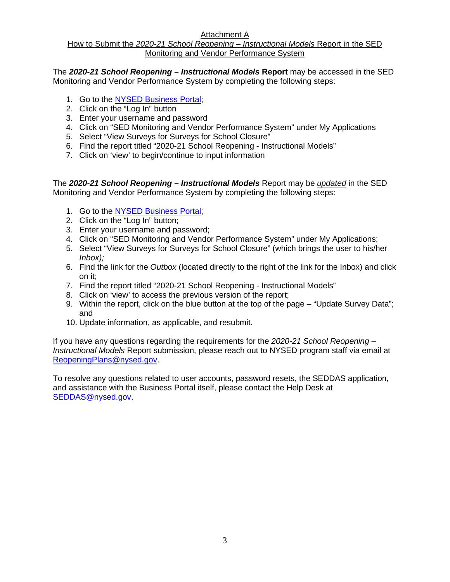# Attachment A

## How to Submit the *2020-21 School Reopening – Instructional Models* Report in the SED Monitoring and Vendor Performance System

The *2020-21 School Reopening – Instructional Models* **Report** may be accessed in the SED Monitoring and Vendor Performance System by completing the following steps:

- 1. Go to the [NYSED Business Portal;](https://portal.nysed.gov/abp)
- 2. Click on the "Log In" button
- 3. Enter your username and password
- 4. Click on "SED Monitoring and Vendor Performance System" under My Applications
- 5. Select "View Surveys for Surveys for School Closure"
- 6. Find the report titled "2020-21 School Reopening Instructional Models"
- 7. Click on 'view' to begin/continue to input information

The *2020-21 School Reopening – Instructional Models* Report may be *updated* in the SED Monitoring and Vendor Performance System by completing the following steps:

- 1. Go to the [NYSED Business Portal;](https://portal.nysed.gov/abp)
- 2. Click on the "Log In" button;
- 3. Enter your username and password;
- 4. Click on "SED Monitoring and Vendor Performance System" under My Applications;
- 5. Select "View Surveys for Surveys for School Closure" (which brings the user to his/her *Inbox);*
- 6. Find the link for the *Outbox* (located directly to the right of the link for the Inbox) and click on it;
- 7. Find the report titled "2020-21 School Reopening Instructional Models"
- 8. Click on 'view' to access the previous version of the report;
- 9. Within the report, click on the blue button at the top of the page "Update Survey Data"; and
- 10. Update information, as applicable, and resubmit.

If you have any questions regarding the requirements for the *2020-21 School Reopening – Instructional Models* Report submission, please reach out to NYSED program staff via email at [ReopeningPlans@nysed.gov.](mailto:ReopeningPlans@nysed.gov)

To resolve any questions related to user accounts, password resets, the SEDDAS application, and assistance with the Business Portal itself, please contact the Help Desk at [SEDDAS@nysed.gov.](mailto:SEDDAS@nysed.gov)